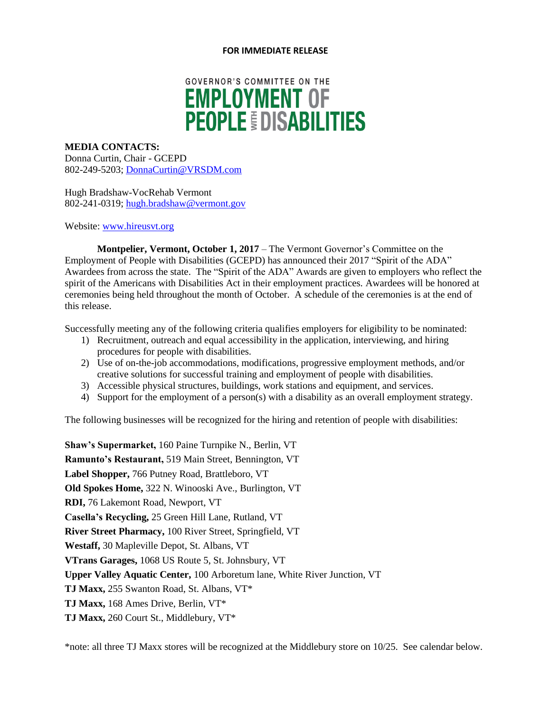#### **FOR IMMEDIATE RELEASE**

# **GOVERNOR'S COMMITTEE ON THE EMPLOYMENT OF PEOPLE OISABILITIES**

#### **MEDIA CONTACTS:**

Donna Curtin, Chair - GCEPD 802-249-5203; [DonnaCurtin@VRSDM.com](mailto:DonnaCurtin@VRSDM.com)

Hugh Bradshaw-VocRehab Vermont 802-241-0319; [hugh.bradshaw@vermont.gov](mailto:hugh.bradshaw@vermont.gov)

#### Website: [www.hireusvt.org](http://www.hireusvt.org/)

**Montpelier, Vermont, October 1, 2017** – The Vermont Governor's Committee on the Employment of People with Disabilities (GCEPD) has announced their 2017 "Spirit of the ADA" Awardees from across the state. The "Spirit of the ADA" Awards are given to employers who reflect the spirit of the Americans with Disabilities Act in their employment practices. Awardees will be honored at ceremonies being held throughout the month of October. A schedule of the ceremonies is at the end of this release.

Successfully meeting any of the following criteria qualifies employers for eligibility to be nominated:

- 1) Recruitment, outreach and equal accessibility in the application, interviewing, and hiring procedures for people with disabilities.
- 2) Use of on-the-job accommodations, modifications, progressive employment methods, and/or creative solutions for successful training and employment of people with disabilities.
- 3) Accessible physical structures, buildings, work stations and equipment, and services.
- 4) Support for the employment of a person(s) with a disability as an overall employment strategy.

The following businesses will be recognized for the hiring and retention of people with disabilities:

**Shaw's Supermarket,** 160 Paine Turnpike N., Berlin, VT **Ramunto's Restaurant,** 519 Main Street, Bennington, VT **Label Shopper,** 766 Putney Road, Brattleboro, VT **Old Spokes Home,** 322 N. Winooski Ave., Burlington, VT **RDI,** 76 Lakemont Road, Newport, VT **Casella's Recycling,** 25 Green Hill Lane, Rutland, VT **River Street Pharmacy,** 100 River Street, Springfield, VT **Westaff,** 30 Mapleville Depot, St. Albans, VT **VTrans Garages,** 1068 US Route 5, St. Johnsbury, VT **Upper Valley Aquatic Center,** 100 Arboretum lane, White River Junction, VT **TJ Maxx,** 255 Swanton Road, St. Albans, VT\* **TJ Maxx,** 168 Ames Drive, Berlin, VT\* **TJ Maxx,** 260 Court St., Middlebury, VT\*

\*note: all three TJ Maxx stores will be recognized at the Middlebury store on 10/25. See calendar below.